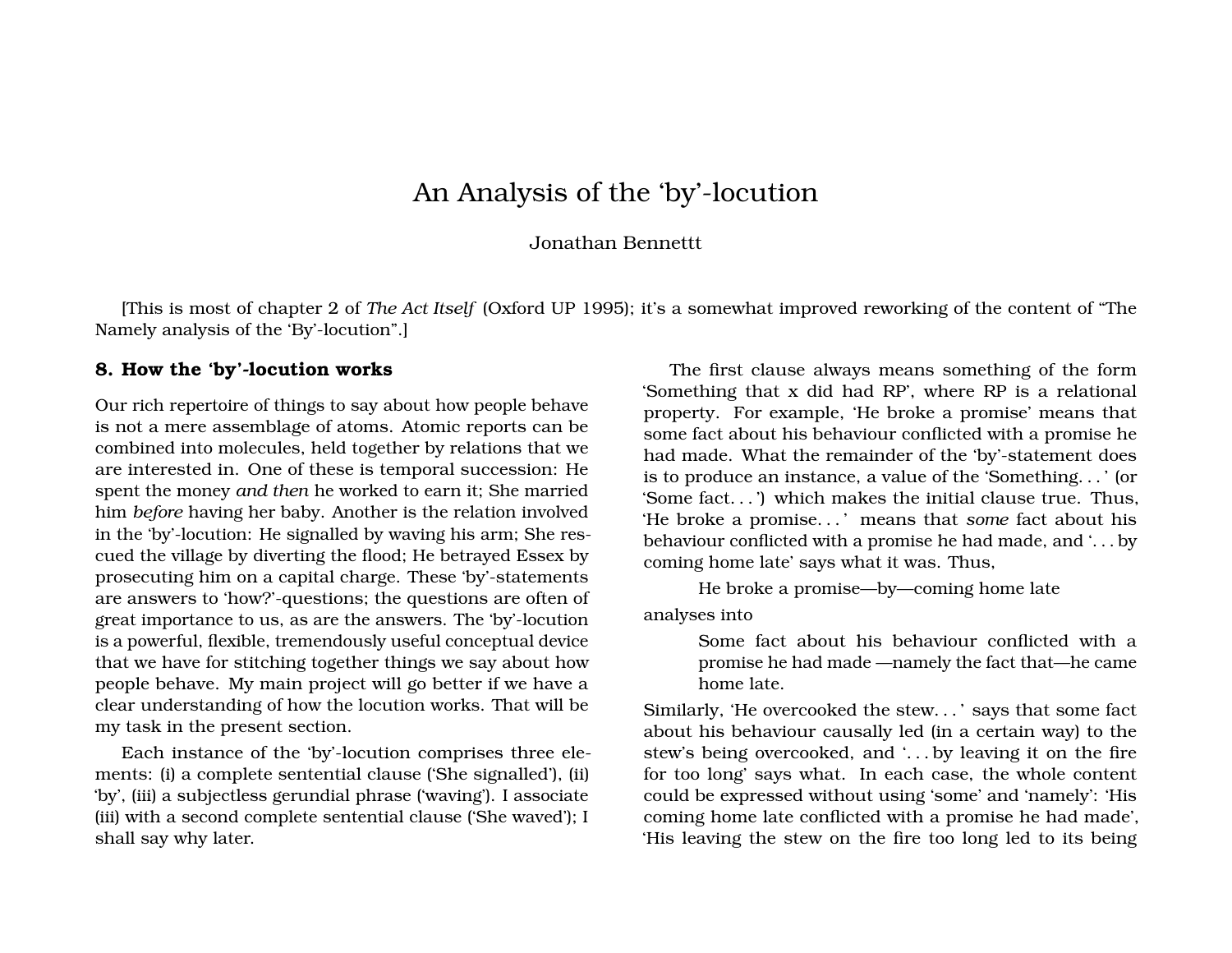# An Analysis of the 'by'-locution

## Jonathan Bennettt

[This is most of chapter 2 of *The Act Itself* (Oxford UP 1995); it's a somewhat improved reworking of the content of "The Namely analysis of the 'By'-locution".]

#### **8. How the 'by'-locution works**

Our rich repertoire of things to say about how people behave is not a mere assemblage of atoms. Atomic reports can be combined into molecules, held together by relations that we are interested in. One of these is temporal succession: He spent the money *and then* he worked to earn it; She married him *before* having her baby. Another is the relation involved in the 'by'-locution: He signalled by waving his arm; She rescued the village by diverting the flood; He betrayed Essex by prosecuting him on a capital charge. These 'by'-statements are answers to 'how?'-questions; the questions are often of great importance to us, as are the answers. The 'by'-locution is a powerful, flexible, tremendously useful conceptual device that we have for stitching together things we say about how people behave. My main project will go better if we have a clear understanding of how the locution works. That will be my task in the present section.

Each instance of the 'by'-locution comprises three elements: (i) a complete sentential clause ('She signalled'), (ii) 'by', (iii) a subjectless gerundial phrase ('waving'). I associate (iii) with a second complete sentential clause ('She waved'); I shall say why later.

The first clause always means something of the form 'Something that x did had RP', where RP is a relational property. For example, 'He broke a promise' means that some fact about his behaviour conflicted with a promise he had made. What the remainder of the 'by'-statement does is to produce an instance, a value of the 'Something. . . ' (or 'Some fact. . . ') which makes the initial clause true. Thus, 'He broke a promise. . . ' means that *some* fact about his behaviour conflicted with a promise he had made, and '. . . by coming home late' says what it was. Thus,

He broke a promise—by—coming home late analyses into

> Some fact about his behaviour conflicted with a promise he had made —namely the fact that—he came home late.

Similarly, 'He overcooked the stew. . . ' says that some fact about his behaviour causally led (in a certain way) to the stew's being overcooked, and '. . . by leaving it on the fire for too long' says what. In each case, the whole content could be expressed without using 'some' and 'namely': 'His coming home late conflicted with a promise he had made', 'His leaving the stew on the fire too long led to its being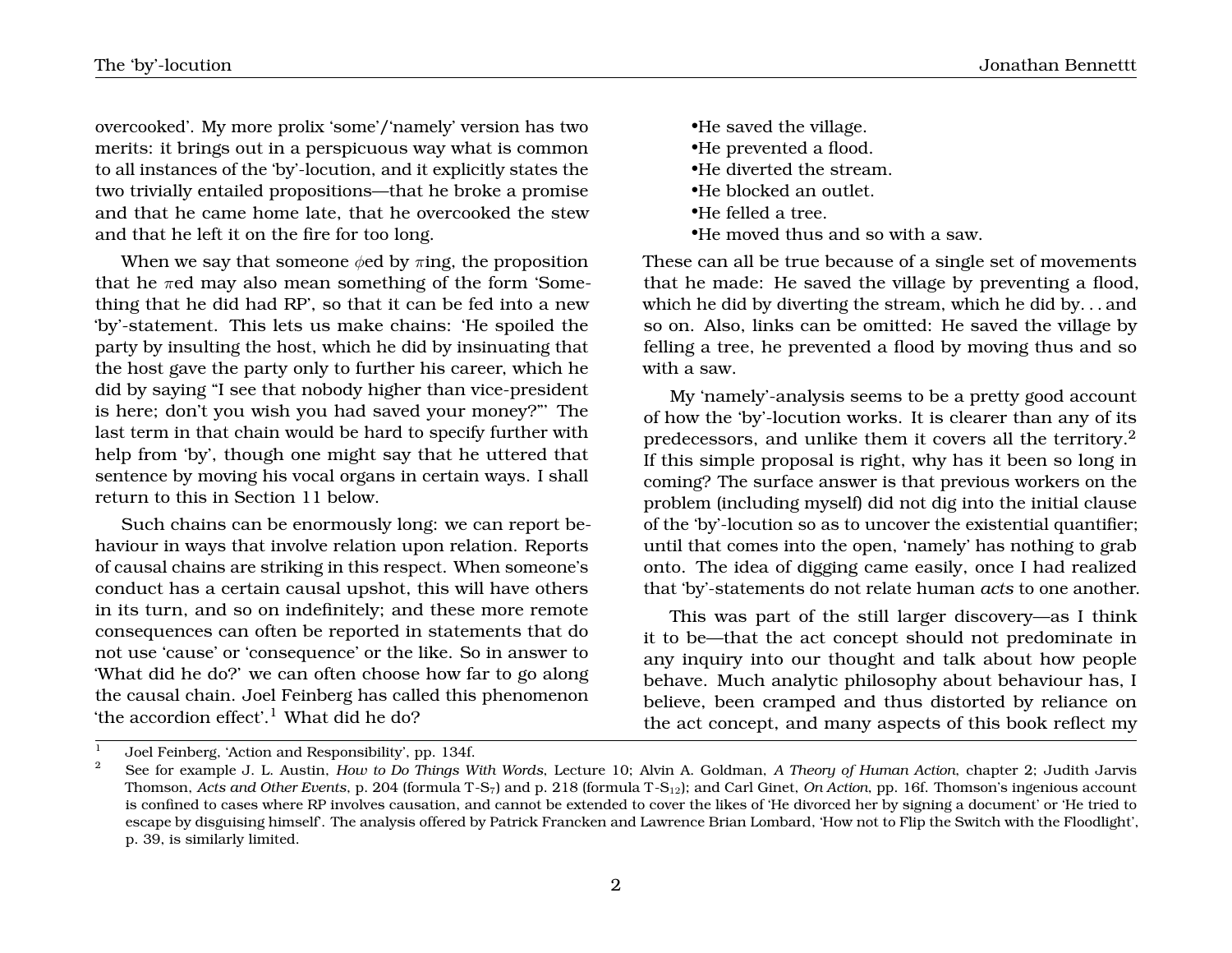overcooked'. My more prolix 'some'/'namely' version has two merits: it brings out in a perspicuous way what is common to all instances of the 'by'-locution, and it explicitly states the two trivially entailed propositions—that he broke a promise and that he came home late, that he overcooked the stew and that he left it on the fire for too long.

When we say that someone  $\phi$ ed by  $\pi$ ing, the proposition that he  $\pi$ ed may also mean something of the form 'Something that he did had RP', so that it can be fed into a new 'by'-statement. This lets us make chains: 'He spoiled the party by insulting the host, which he did by insinuating that the host gave the party only to further his career, which he did by saying "I see that nobody higher than vice-president is here; don't you wish you had saved your money?"' The last term in that chain would be hard to specify further with help from 'by', though one might say that he uttered that sentence by moving his vocal organs in certain ways. I shall return to this in Section 11 below.

Such chains can be enormously long: we can report behaviour in ways that involve relation upon relation. Reports of causal chains are striking in this respect. When someone's conduct has a certain causal upshot, this will have others in its turn, and so on indefinitely; and these more remote consequences can often be reported in statements that do not use 'cause' or 'consequence' or the like. So in answer to 'What did he do?' we can often choose how far to go along the causal chain. Joel Feinberg has called this phenomenon 'the accordion effect'.<sup>1</sup> What did he do?

•He saved the village. •He prevented a flood. •He diverted the stream. •He blocked an outlet. •He felled a tree. •He moved thus and so with a saw.

These can all be true because of a single set of movements that he made: He saved the village by preventing a flood, which he did by diverting the stream, which he did by. . . and so on. Also, links can be omitted: He saved the village by felling a tree, he prevented a flood by moving thus and so with a saw.

My 'namely'-analysis seems to be a pretty good account of how the 'by'-locution works. It is clearer than any of its predecessors, and unlike them it covers all the territory.<sup>2</sup> If this simple proposal is right, why has it been so long in coming? The surface answer is that previous workers on the problem (including myself) did not dig into the initial clause of the 'by'-locution so as to uncover the existential quantifier; until that comes into the open, 'namely' has nothing to grab onto. The idea of digging came easily, once I had realized that 'by'-statements do not relate human *acts* to one another.

This was part of the still larger discovery—as I think it to be—that the act concept should not predominate in any inquiry into our thought and talk about how people behave. Much analytic philosophy about behaviour has, I believe, been cramped and thus distorted by reliance on the act concept, and many aspects of this book reflect my

<sup>&</sup>lt;sup>1</sup> Joel Feinberg, 'Action and Responsibility', pp. 134f.<br><sup>2</sup> See far avanuale L.L. Austine Hausta De Things Hi

<sup>2</sup> See for example J. L. Austin, *How to Do Things With Words*, Lecture 10; Alvin A. Goldman, *A Theory of Human Action*, chapter 2; Judith Jarvis Thomson, *Acts and Other Events*, p. 204 (formula T-S7) and p. 218 (formula T-S12); and Carl Ginet, *On Action*, pp. 16f. Thomson's ingenious account is confined to cases where RP involves causation, and cannot be extended to cover the likes of 'He divorced her by signing a document' or 'He tried to escape by disguising himself'. The analysis offered by Patrick Francken and Lawrence Brian Lombard, 'How not to Flip the Switch with the Floodlight', p. 39, is similarly limited.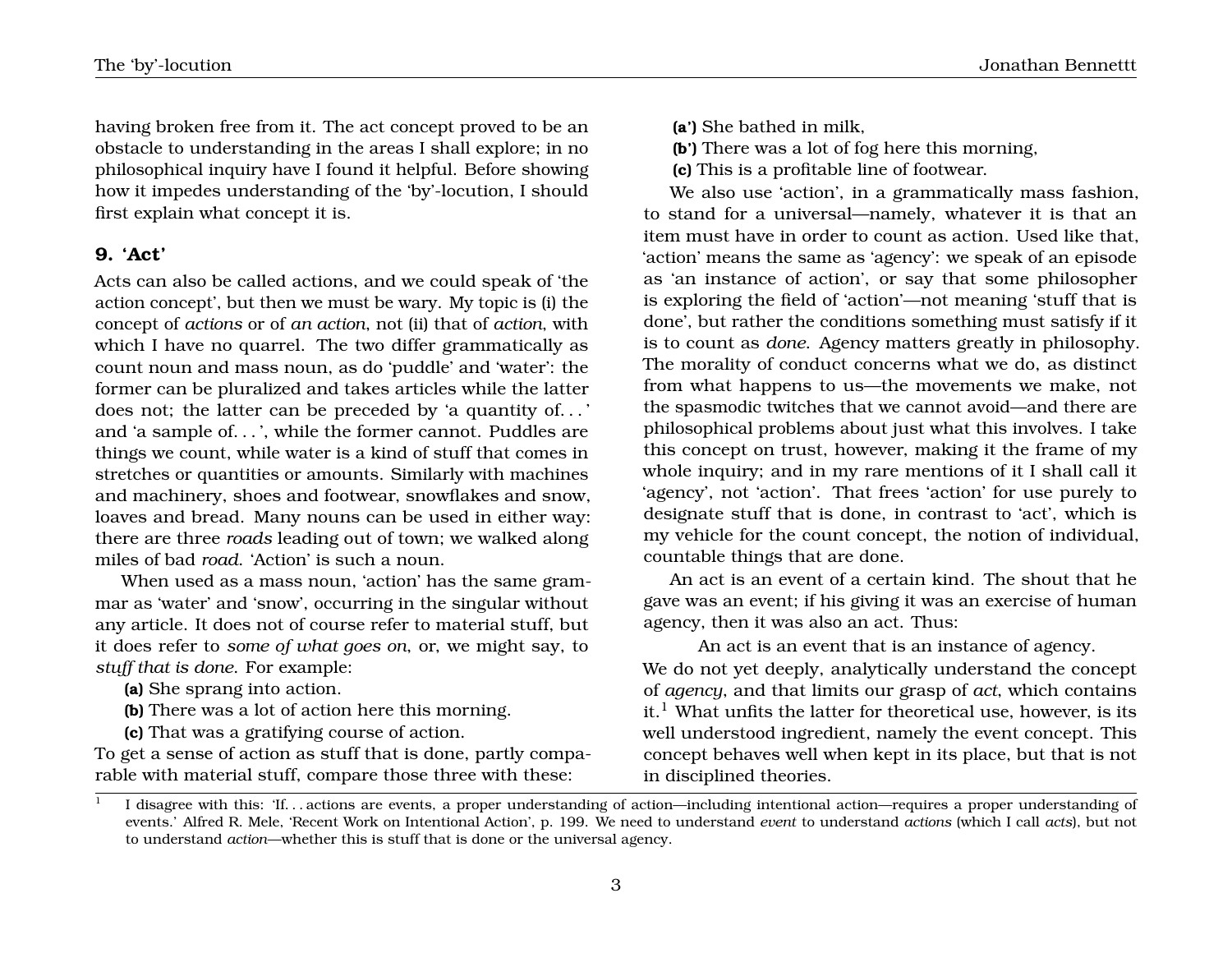having broken free from it. The act concept proved to be an obstacle to understanding in the areas I shall explore; in no philosophical inquiry have I found it helpful. Before showing how it impedes understanding of the 'by'-locution, I should first explain what concept it is.

#### **9. 'Act'**

Acts can also be called actions, and we could speak of 'the action concept', but then we must be wary. My topic is (i) the concept of *actions* or of *an action*, not (ii) that of *action*, with which I have no quarrel. The two differ grammatically as count noun and mass noun, as do 'puddle' and 'water': the former can be pluralized and takes articles while the latter does not; the latter can be preceded by 'a quantity of. . . ' and 'a sample of. . . ', while the former cannot. Puddles are things we count, while water is a kind of stuff that comes in stretches or quantities or amounts. Similarly with machines and machinery, shoes and footwear, snowflakes and snow, loaves and bread. Many nouns can be used in either way: there are three *roads* leading out of town; we walked along miles of bad *road*. 'Action' is such a noun.

When used as a mass noun, 'action' has the same grammar as 'water' and 'snow', occurring in the singular without any article. It does not of course refer to material stuff, but it does refer to *some of what goes on*, or, we might say, to *stuff that is done*. For example:

- **(a)** She sprang into action.
- **(b)** There was a lot of action here this morning.
- **(c)** That was a gratifying course of action.

To get a sense of action as stuff that is done, partly comparable with material stuff, compare those three with these:

- **(a')** She bathed in milk,
- **(b')** There was a lot of fog here this morning,
- **(c)** This is a profitable line of footwear.

We also use 'action', in a grammatically mass fashion, to stand for a universal—namely, whatever it is that an item must have in order to count as action. Used like that, 'action' means the same as 'agency': we speak of an episode as 'an instance of action', or say that some philosopher is exploring the field of 'action'—not meaning 'stuff that is done', but rather the conditions something must satisfy if it is to count as *done*. Agency matters greatly in philosophy. The morality of conduct concerns what we do, as distinct from what happens to us—the movements we make, not the spasmodic twitches that we cannot avoid—and there are philosophical problems about just what this involves. I take this concept on trust, however, making it the frame of my whole inquiry; and in my rare mentions of it I shall call it 'agency', not 'action'. That frees 'action' for use purely to designate stuff that is done, in contrast to 'act', which is my vehicle for the count concept, the notion of individual, countable things that are done.

An act is an event of a certain kind. The shout that he gave was an event; if his giving it was an exercise of human agency, then it was also an act. Thus:

An act is an event that is an instance of agency. We do not yet deeply, analytically understand the concept of *agency*, and that limits our grasp of *act*, which contains  $it.<sup>1</sup>$  What unfits the latter for theoretical use, however, is its well understood ingredient, namely the event concept. This concept behaves well when kept in its place, but that is not in disciplined theories.

<sup>1</sup> I disagree with this: 'If. . . actions are events, a proper understanding of action—including intentional action—requires a proper understanding of events.' Alfred R. Mele, 'Recent Work on Intentional Action', p. 199. We need to understand *event* to understand *actions* (which I call *acts*), but not to understand *action*—whether this is stuff that is done or the universal agency.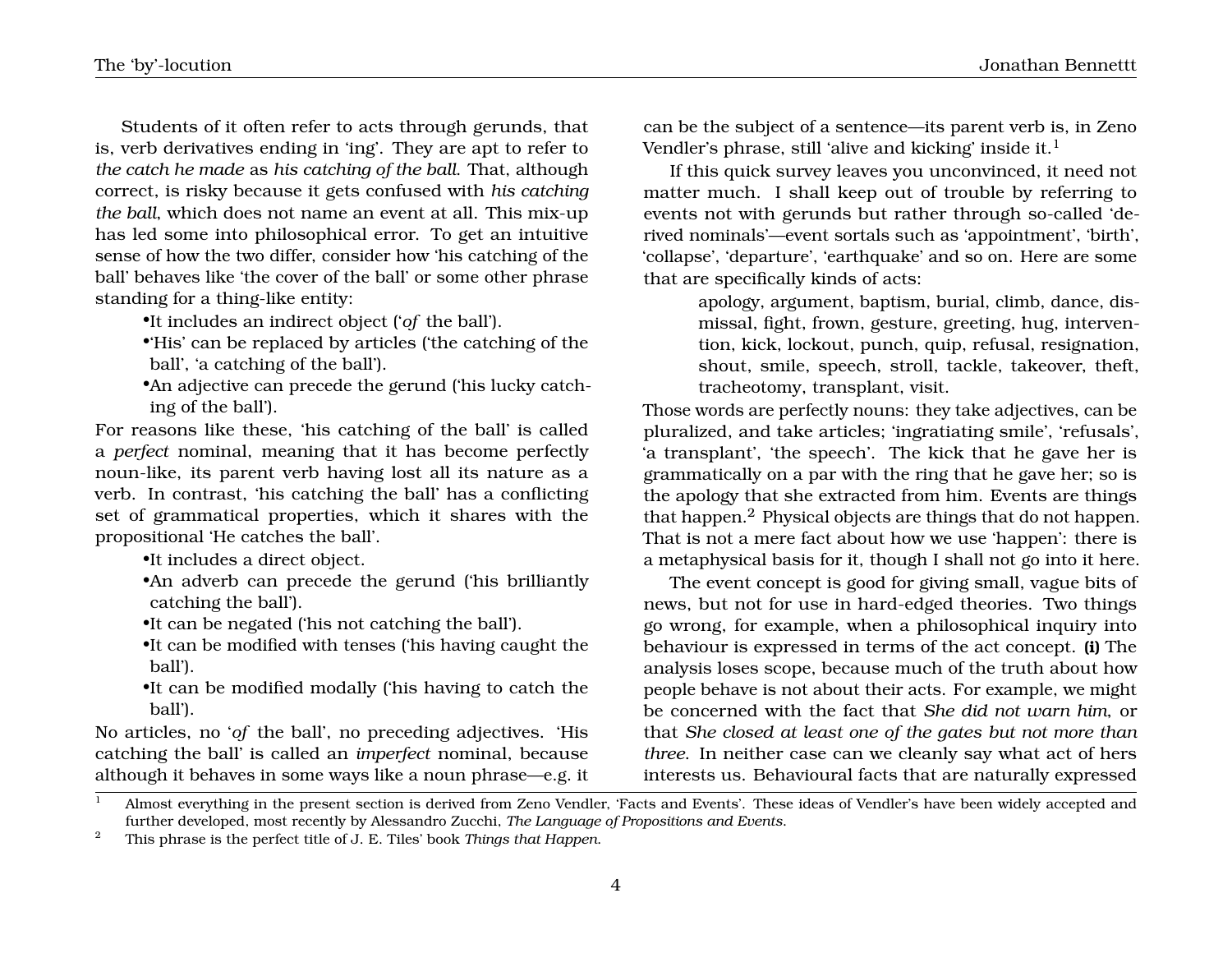Students of it often refer to acts through gerunds, that is, verb derivatives ending in 'ing'. They are apt to refer to *the catch he made* as *his catching of the ball*. That, although correct, is risky because it gets confused with *his catching the ball*, which does not name an event at all. This mix-up has led some into philosophical error. To get an intuitive sense of how the two differ, consider how 'his catching of the ball' behaves like 'the cover of the ball' or some other phrase standing for a thing-like entity:

•It includes an indirect object ('*of* the ball').

•'His' can be replaced by articles ('the catching of the ball', 'a catching of the ball').

•An adjective can precede the gerund ('his lucky catching of the ball').

For reasons like these, 'his catching of the ball' is called a *perfect* nominal, meaning that it has become perfectly noun-like, its parent verb having lost all its nature as a verb. In contrast, 'his catching the ball' has a conflicting set of grammatical properties, which it shares with the propositional 'He catches the ball'.

•It includes a direct object.

•An adverb can precede the gerund ('his brilliantly catching the ball').

•It can be negated ('his not catching the ball').

•It can be modified with tenses ('his having caught the ball').

•It can be modified modally ('his having to catch the ball').

No articles, no '*of* the ball', no preceding adjectives. 'His catching the ball' is called an *imperfect* nominal, because although it behaves in some ways like a noun phrase—e.g. it can be the subject of a sentence—its parent verb is, in Zeno Vendler's phrase, still 'alive and kicking' inside it.<sup>1</sup>

If this quick survey leaves you unconvinced, it need not matter much. I shall keep out of trouble by referring to events not with gerunds but rather through so-called 'derived nominals'—event sortals such as 'appointment', 'birth', 'collapse', 'departure', 'earthquake' and so on. Here are some that are specifically kinds of acts:

> apology, argument, baptism, burial, climb, dance, dismissal, fight, frown, gesture, greeting, hug, intervention, kick, lockout, punch, quip, refusal, resignation, shout, smile, speech, stroll, tackle, takeover, theft, tracheotomy, transplant, visit.

Those words are perfectly nouns: they take adjectives, can be pluralized, and take articles; 'ingratiating smile', 'refusals', 'a transplant', 'the speech'. The kick that he gave her is grammatically on a par with the ring that he gave her; so is the apology that she extracted from him. Events are things that happen.<sup>2</sup> Physical objects are things that do not happen. That is not a mere fact about how we use 'happen': there is a metaphysical basis for it, though I shall not go into it here.

The event concept is good for giving small, vague bits of news, but not for use in hard-edged theories. Two things go wrong, for example, when a philosophical inquiry into behaviour is expressed in terms of the act concept. **(i)** The analysis loses scope, because much of the truth about how people behave is not about their acts. For example, we might be concerned with the fact that *She did not warn him*, or that *She closed at least one of the gates but not more than three*. In neither case can we cleanly say what act of hers interests us. Behavioural facts that are naturally expressed

<sup>1</sup> Almost everything in the present section is derived from Zeno Vendler, 'Facts and Events'. These ideas of Vendler's have been widely accepted and further developed, most recently by Alessandro Zucchi, *The Language of Propositions and Events*.

<sup>2</sup> This phrase is the perfect title of J. E. Tiles' book *Things that Happen*.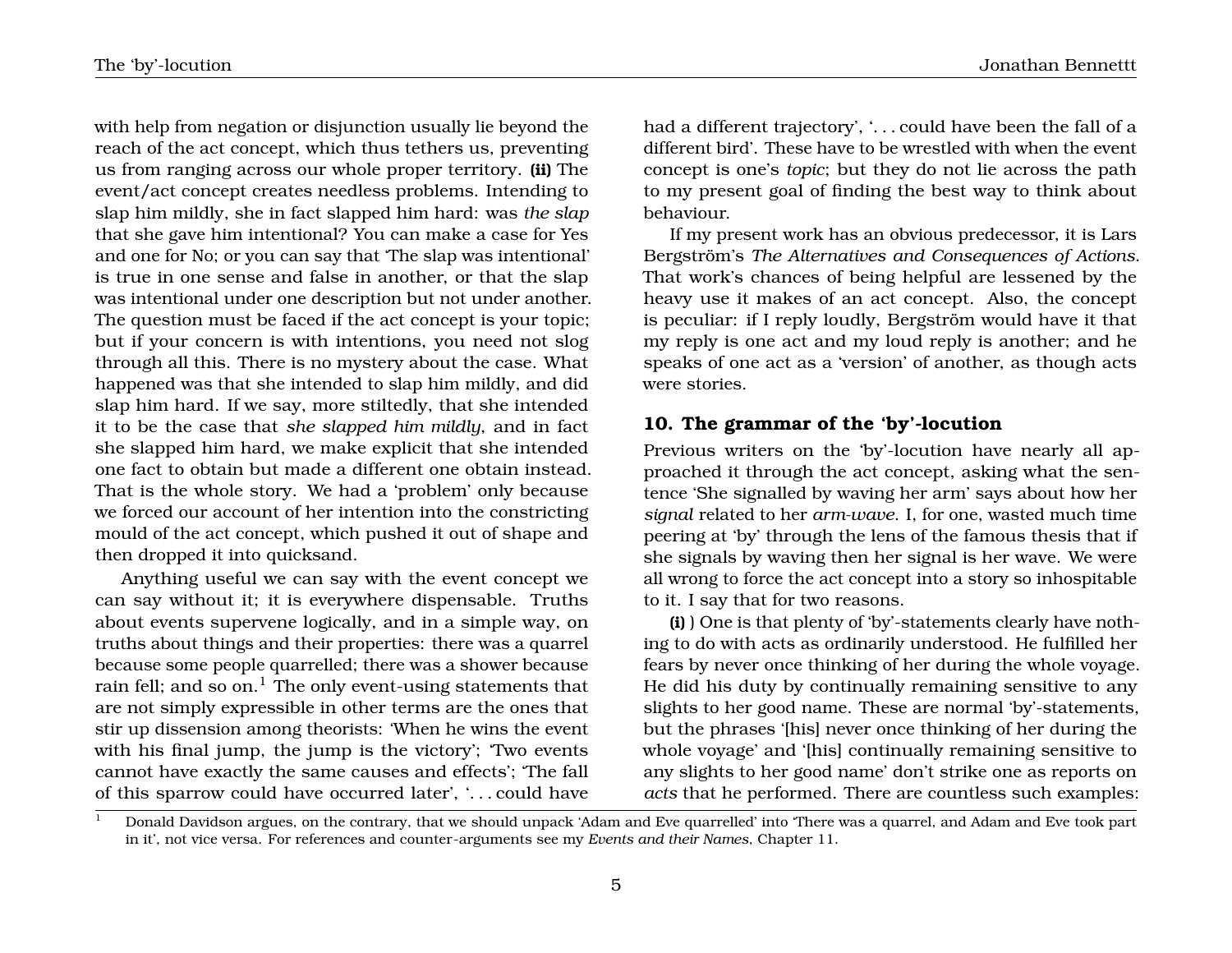with help from negation or disjunction usually lie beyond the reach of the act concept, which thus tethers us, preventing us from ranging across our whole proper territory. **(ii)** The event/act concept creates needless problems. Intending to slap him mildly, she in fact slapped him hard: was *the slap* that she gave him intentional? You can make a case for Yes and one for No; or you can say that 'The slap was intentional' is true in one sense and false in another, or that the slap was intentional under one description but not under another. The question must be faced if the act concept is your topic; but if your concern is with intentions, you need not slog through all this. There is no mystery about the case. What happened was that she intended to slap him mildly, and did slap him hard. If we say, more stiltedly, that she intended it to be the case that *she slapped him mildly*, and in fact she slapped him hard, we make explicit that she intended one fact to obtain but made a different one obtain instead. That is the whole story. We had a 'problem' only because we forced our account of her intention into the constricting mould of the act concept, which pushed it out of shape and then dropped it into quicksand.

Anything useful we can say with the event concept we can say without it; it is everywhere dispensable. Truths about events supervene logically, and in a simple way, on truths about things and their properties: there was a quarrel because some people quarrelled; there was a shower because rain fell; and so on.<sup>1</sup> The only event-using statements that are not simply expressible in other terms are the ones that stir up dissension among theorists: 'When he wins the event with his final jump, the jump is the victory'; 'Two events cannot have exactly the same causes and effects'; 'The fall of this sparrow could have occurred later', '. . . could have

had a different trajectory', '. . . could have been the fall of a different bird'. These have to be wrestled with when the event concept is one's *topic*; but they do not lie across the path to my present goal of finding the best way to think about behaviour.

If my present work has an obvious predecessor, it is Lars Bergström's *The Alternatives and Consequences of Actions*. That work's chances of being helpful are lessened by the heavy use it makes of an act concept. Also, the concept is peculiar: if I reply loudly, Bergström would have it that my reply is one act and my loud reply is another; and he speaks of one act as a 'version' of another, as though acts were stories.

### **10. The grammar of the 'by'-locution**

Previous writers on the 'by'-locution have nearly all approached it through the act concept, asking what the sentence 'She signalled by waving her arm' says about how her *signal* related to her *arm-wave*. I, for one, wasted much time peering at 'by' through the lens of the famous thesis that if she signals by waving then her signal is her wave. We were all wrong to force the act concept into a story so inhospitable to it. I say that for two reasons.

**(i)** ) One is that plenty of 'by'-statements clearly have nothing to do with acts as ordinarily understood. He fulfilled her fears by never once thinking of her during the whole voyage. He did his duty by continually remaining sensitive to any slights to her good name. These are normal 'by'-statements, but the phrases '[his] never once thinking of her during the whole voyage' and '[his] continually remaining sensitive to any slights to her good name' don't strike one as reports on *acts* that he performed. There are countless such examples:

<sup>1</sup> Donald Davidson argues, on the contrary, that we should unpack 'Adam and Eve quarrelled' into 'There was a quarrel, and Adam and Eve took part in it', not vice versa. For references and counter-arguments see my *Events and their Names*, Chapter 11.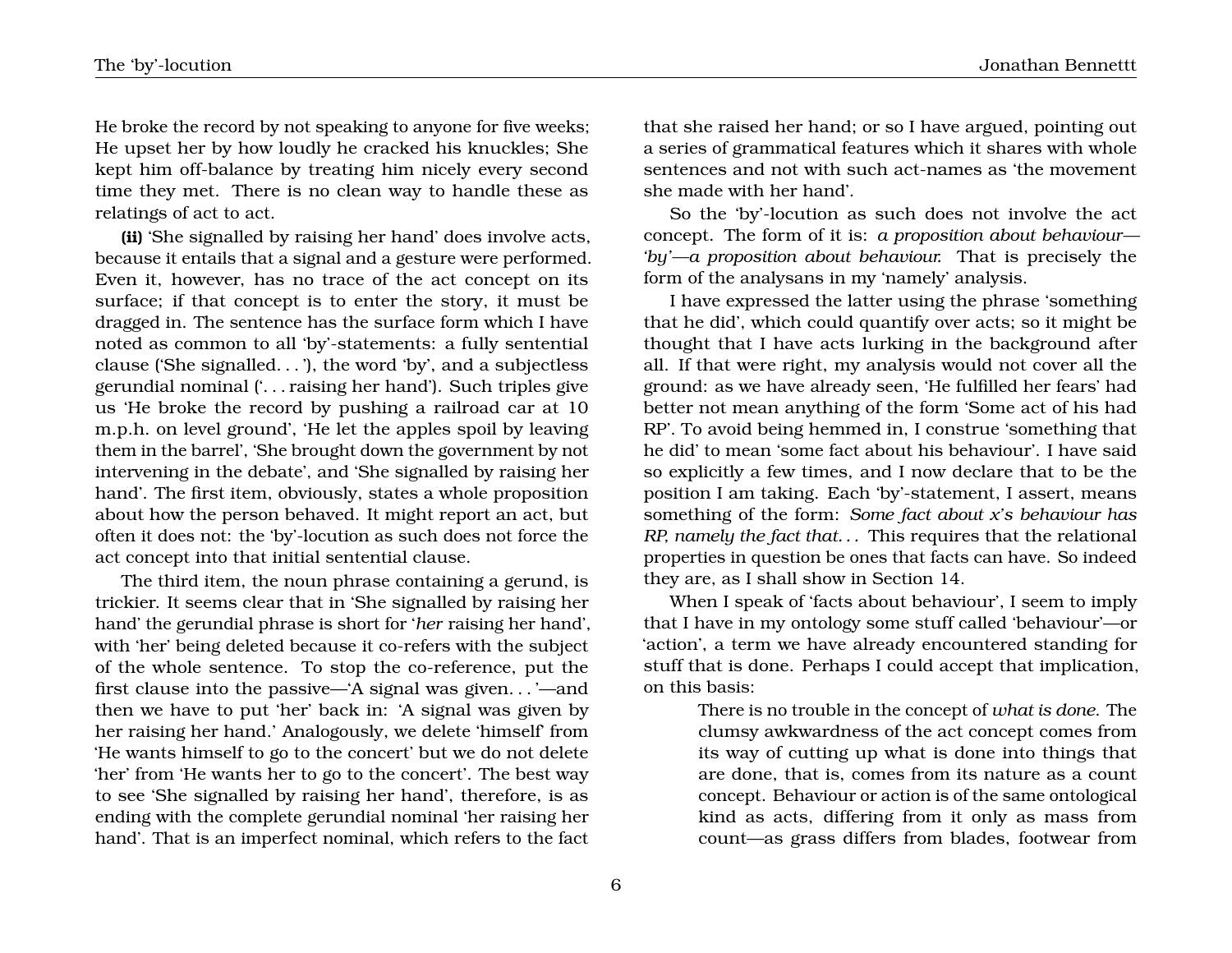He broke the record by not speaking to anyone for five weeks; He upset her by how loudly he cracked his knuckles; She kept him off-balance by treating him nicely every second time they met. There is no clean way to handle these as relatings of act to act.

**(ii)** 'She signalled by raising her hand' does involve acts, because it entails that a signal and a gesture were performed. Even it, however, has no trace of the act concept on its surface; if that concept is to enter the story, it must be dragged in. The sentence has the surface form which I have noted as common to all 'by'-statements: a fully sentential clause ('She signalled. . . '), the word 'by', and a subjectless gerundial nominal ('. . . raising her hand'). Such triples give us 'He broke the record by pushing a railroad car at 10 m.p.h. on level ground', 'He let the apples spoil by leaving them in the barrel', 'She brought down the government by not intervening in the debate', and 'She signalled by raising her hand'. The first item, obviously, states a whole proposition about how the person behaved. It might report an act, but often it does not: the 'by'-locution as such does not force the act concept into that initial sentential clause.

The third item, the noun phrase containing a gerund, is trickier. It seems clear that in 'She signalled by raising her hand' the gerundial phrase is short for '*her* raising her hand', with 'her' being deleted because it co-refers with the subject of the whole sentence. To stop the co-reference, put the first clause into the passive—'A signal was given. . . '—and then we have to put 'her' back in: 'A signal was given by her raising her hand.' Analogously, we delete 'himself' from 'He wants himself to go to the concert' but we do not delete 'her' from 'He wants her to go to the concert'. The best way to see 'She signalled by raising her hand', therefore, is as ending with the complete gerundial nominal 'her raising her hand'. That is an imperfect nominal, which refers to the fact that she raised her hand; or so I have argued, pointing out a series of grammatical features which it shares with whole sentences and not with such act-names as 'the movement she made with her hand'.

So the 'by'-locution as such does not involve the act concept. The form of it is: *a proposition about behaviour— 'by'—a proposition about behaviour.* That is precisely the form of the analysans in my 'namely' analysis.

I have expressed the latter using the phrase 'something that he did', which could quantify over acts; so it might be thought that I have acts lurking in the background after all. If that were right, my analysis would not cover all the ground: as we have already seen, 'He fulfilled her fears' had better not mean anything of the form 'Some act of his had RP'. To avoid being hemmed in, I construe 'something that he did' to mean 'some fact about his behaviour'. I have said so explicitly a few times, and I now declare that to be the position I am taking. Each 'by'-statement, I assert, means something of the form: *Some fact about x's behaviour has RP, namely the fact that. . .* This requires that the relational properties in question be ones that facts can have. So indeed they are, as I shall show in Section 14.

When I speak of 'facts about behaviour', I seem to imply that I have in my ontology some stuff called 'behaviour'—or 'action', a term we have already encountered standing for stuff that is done. Perhaps I could accept that implication, on this basis:

> There is no trouble in the concept of *what is done*. The clumsy awkwardness of the act concept comes from its way of cutting up what is done into things that are done, that is, comes from its nature as a count concept. Behaviour or action is of the same ontological kind as acts, differing from it only as mass from count—as grass differs from blades, footwear from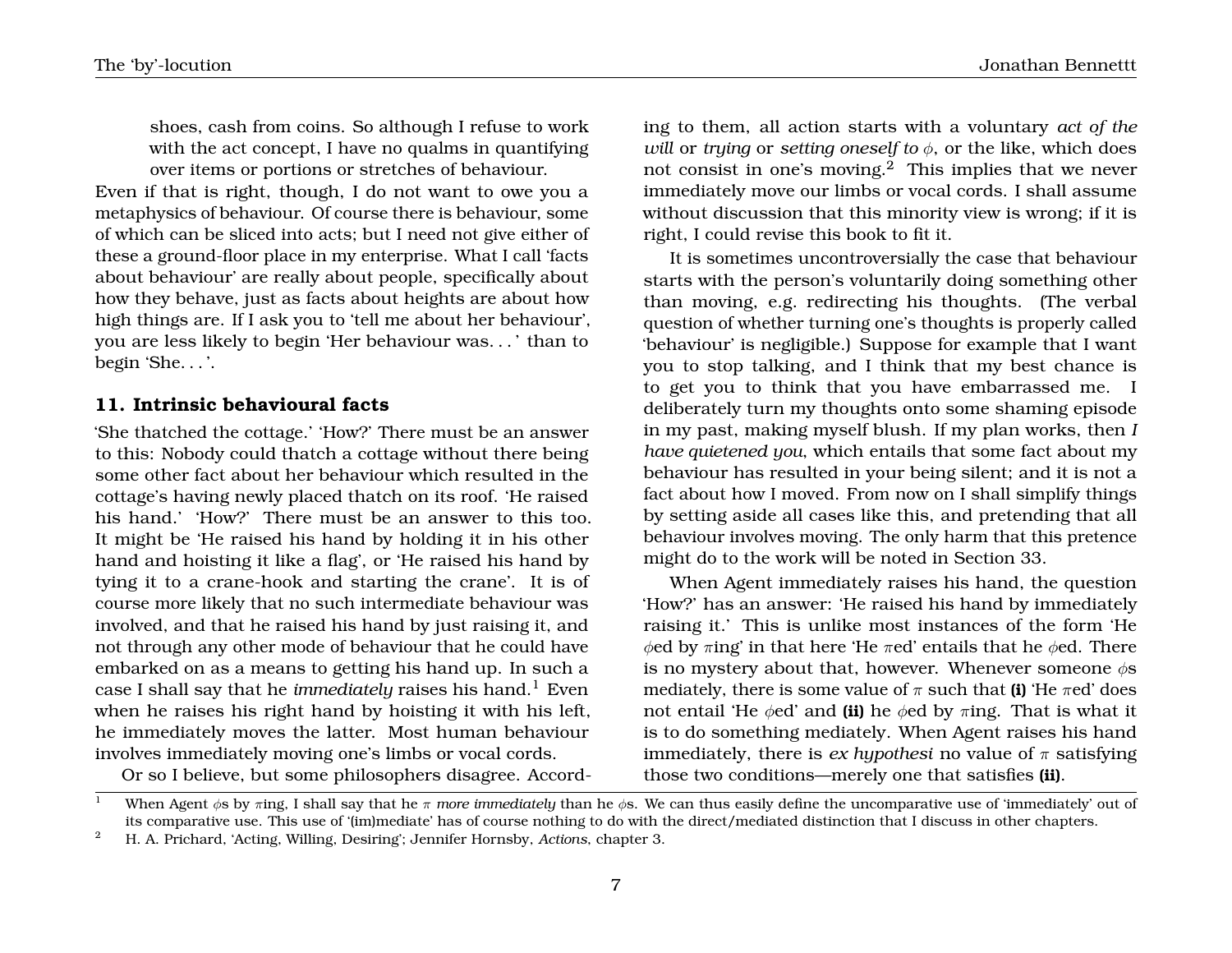shoes, cash from coins. So although I refuse to work with the act concept. I have no qualms in quantifying over items or portions or stretches of behaviour.

Even if that is right, though, I do not want to owe you a metaphysics of behaviour. Of course there is behaviour, some of which can be sliced into acts; but I need not give either of these a ground-floor place in my enterprise. What I call 'facts about behaviour' are really about people, specifically about how they behave, just as facts about heights are about how high things are. If I ask you to 'tell me about her behaviour', you are less likely to begin 'Her behaviour was. . . ' than to begin 'She. . . '.

#### **11. Intrinsic behavioural facts**

'She thatched the cottage.' 'How?' There must be an answer to this: Nobody could thatch a cottage without there being some other fact about her behaviour which resulted in the cottage's having newly placed thatch on its roof. 'He raised his hand.' 'How?' There must be an answer to this too. It might be 'He raised his hand by holding it in his other hand and hoisting it like a flag', or 'He raised his hand by tying it to a crane-hook and starting the crane'. It is of course more likely that no such intermediate behaviour was involved, and that he raised his hand by just raising it, and not through any other mode of behaviour that he could have embarked on as a means to getting his hand up. In such a case I shall say that he *immediately* raises his hand.<sup>1</sup> Even when he raises his right hand by hoisting it with his left, he immediately moves the latter. Most human behaviour involves immediately moving one's limbs or vocal cords.

Or so I believe, but some philosophers disagree. Accord-

ing to them, all action starts with a voluntary *act of the will* or *trying* or *setting oneself* to *φ*, or the like, which does not consist in one's moving.<sup>2</sup> This implies that we never immediately move our limbs or vocal cords. I shall assume without discussion that this minority view is wrong; if it is right, I could revise this book to fit it.

It is sometimes uncontroversially the case that behaviour starts with the person's voluntarily doing something other than moving, e.g. redirecting his thoughts. (The verbal question of whether turning one's thoughts is properly called 'behaviour' is negligible.) Suppose for example that I want you to stop talking, and I think that my best chance is to get you to think that you have embarrassed me. I deliberately turn my thoughts onto some shaming episode in my past, making myself blush. If my plan works, then *I have quietened you*, which entails that some fact about my behaviour has resulted in your being silent; and it is not a fact about how I moved. From now on I shall simplify things by setting aside all cases like this, and pretending that all behaviour involves moving. The only harm that this pretence might do to the work will be noted in Section 33.

When Agent immediately raises his hand, the question 'How?' has an answer: 'He raised his hand by immediately raising it.' This is unlike most instances of the form 'He φed by πing' in that here 'He πed' entails that he φed. There is no mystery about that, however. Whenever someone  $\phi$ s mediately, there is some value of  $\pi$  such that **(i)** 'He  $\pi$ ed' does not entail 'He  $\phi$ ed' and **(ii)** he  $\phi$ ed by  $\pi$ ing. That is what it is to do something mediately. When Agent raises his hand immediately, there is *ex hypothesi* no value of  $\pi$  satisfying those two conditions—merely one that satisfies **(ii)**.

<sup>1</sup> When Agent  $\phi$ s by  $\pi$ ing, I shall say that he  $\pi$  *more immediately* than he  $\phi$ s. We can thus easily define the uncomparative use of 'immediately' out of its comparative use. This use of '(im)mediate' has of course nothing to do with the direct/mediated distinction that I discuss in other chapters.

<sup>2</sup> H. A. Prichard, 'Acting, Willing, Desiring'; Jennifer Hornsby, *Actions*, chapter 3.